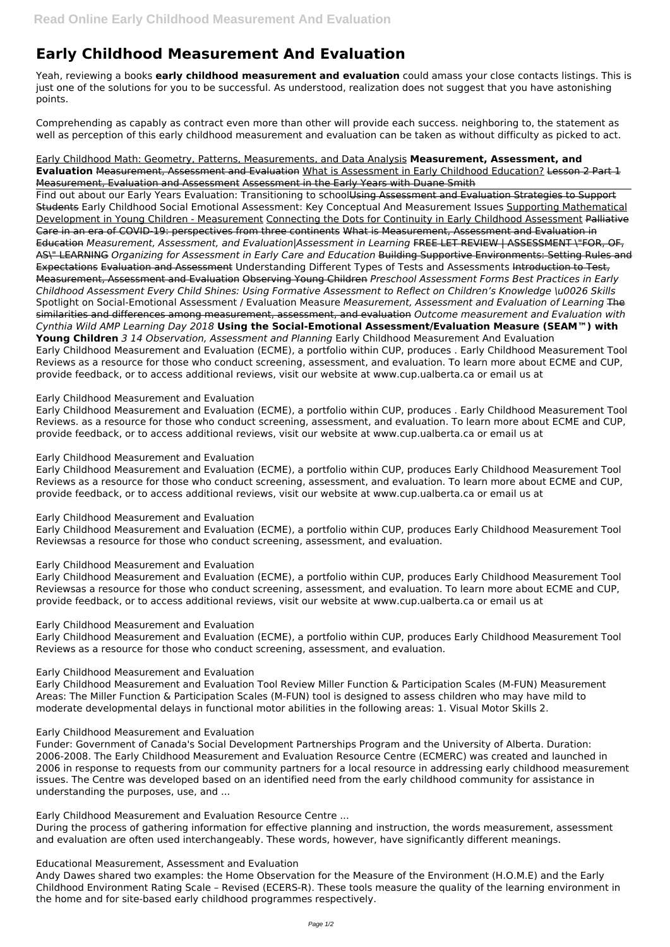# **Early Childhood Measurement And Evaluation**

Yeah, reviewing a books **early childhood measurement and evaluation** could amass your close contacts listings. This is just one of the solutions for you to be successful. As understood, realization does not suggest that you have astonishing points.

Comprehending as capably as contract even more than other will provide each success. neighboring to, the statement as well as perception of this early childhood measurement and evaluation can be taken as without difficulty as picked to act.

Early Childhood Math: Geometry, Patterns, Measurements, and Data Analysis **Measurement, Assessment, and Evaluation** Measurement, Assessment and Evaluation What is Assessment in Early Childhood Education? Lesson 2 Part 1 Measurement, Evaluation and Assessment Assessment in the Early Years with Duane Smith

Find out about our Early Years Evaluation: Transitioning to schoolUsing Assessment and Evaluation Strategies to Support Students Early Childhood Social Emotional Assessment: Key Conceptual And Measurement Issues Supporting Mathematical Development in Young Children - Measurement Connecting the Dots for Continuity in Early Childhood Assessment Palliative Care in an era of COVID-19: perspectives from three continents What is Measurement, Assessment and Evaluation in Education *Measurement, Assessment, and Evaluation|Assessment in Learning* FREE LET REVIEW | ASSESSMENT \"FOR, OF, AS\" LEARNING *Organizing for Assessment in Early Care and Education* Building Supportive Environments: Setting Rules and Expectations Evaluation and Assessment Understanding Different Types of Tests and Assessments Introduction to Test, Measurement, Assessment and Evaluation Observing Young Children *Preschool Assessment Forms Best Practices in Early Childhood Assessment Every Child Shines: Using Formative Assessment to Reflect on Children's Knowledge \u0026 Skills* Spotlight on Social-Emotional Assessment / Evaluation Measure *Measurement, Assessment and Evaluation of Learning* The similarities and differences among measurement, assessment, and evaluation *Outcome measurement and Evaluation with Cynthia Wild AMP Learning Day 2018* **Using the Social-Emotional Assessment/Evaluation Measure (SEAM™) with Young Children** *3 14 Observation, Assessment and Planning* Early Childhood Measurement And Evaluation Early Childhood Measurement and Evaluation (ECME), a portfolio within CUP, produces . Early Childhood Measurement Tool Reviews as a resource for those who conduct screening, assessment, and evaluation. To learn more about ECME and CUP, provide feedback, or to access additional reviews, visit our website at www.cup.ualberta.ca or email us at

### Early Childhood Measurement and Evaluation

Early Childhood Measurement and Evaluation (ECME), a portfolio within CUP, produces . Early Childhood Measurement Tool Reviews. as a resource for those who conduct screening, assessment, and evaluation. To learn more about ECME and CUP, provide feedback, or to access additional reviews, visit our website at www.cup.ualberta.ca or email us at

# Early Childhood Measurement and Evaluation

Early Childhood Measurement and Evaluation (ECME), a portfolio within CUP, produces Early Childhood Measurement Tool Reviews as a resource for those who conduct screening, assessment, and evaluation. To learn more about ECME and CUP, provide feedback, or to access additional reviews, visit our website at www.cup.ualberta.ca or email us at

### Early Childhood Measurement and Evaluation

Early Childhood Measurement and Evaluation (ECME), a portfolio within CUP, produces Early Childhood Measurement Tool Reviewsas a resource for those who conduct screening, assessment, and evaluation.

### Early Childhood Measurement and Evaluation

Early Childhood Measurement and Evaluation (ECME), a portfolio within CUP, produces Early Childhood Measurement Tool Reviewsas a resource for those who conduct screening, assessment, and evaluation. To learn more about ECME and CUP, provide feedback, or to access additional reviews, visit our website at www.cup.ualberta.ca or email us at

### Early Childhood Measurement and Evaluation

Early Childhood Measurement and Evaluation (ECME), a portfolio within CUP, produces Early Childhood Measurement Tool Reviews as a resource for those who conduct screening, assessment, and evaluation.

# Early Childhood Measurement and Evaluation

Early Childhood Measurement and Evaluation Tool Review Miller Function & Participation Scales (M-FUN) Measurement Areas: The Miller Function & Participation Scales (M-FUN) tool is designed to assess children who may have mild to moderate developmental delays in functional motor abilities in the following areas: 1. Visual Motor Skills 2.

Early Childhood Measurement and Evaluation

Funder: Government of Canada's Social Development Partnerships Program and the University of Alberta. Duration: 2006-2008. The Early Childhood Measurement and Evaluation Resource Centre (ECMERC) was created and launched in 2006 in response to requests from our community partners for a local resource in addressing early childhood measurement issues. The Centre was developed based on an identified need from the early childhood community for assistance in understanding the purposes, use, and ...

Early Childhood Measurement and Evaluation Resource Centre ...

During the process of gathering information for effective planning and instruction, the words measurement, assessment and evaluation are often used interchangeably. These words, however, have significantly different meanings.

Educational Measurement, Assessment and Evaluation

Andy Dawes shared two examples: the Home Observation for the Measure of the Environment (H.O.M.E) and the Early Childhood Environment Rating Scale – Revised (ECERS-R). These tools measure the quality of the learning environment in the home and for site-based early childhood programmes respectively.